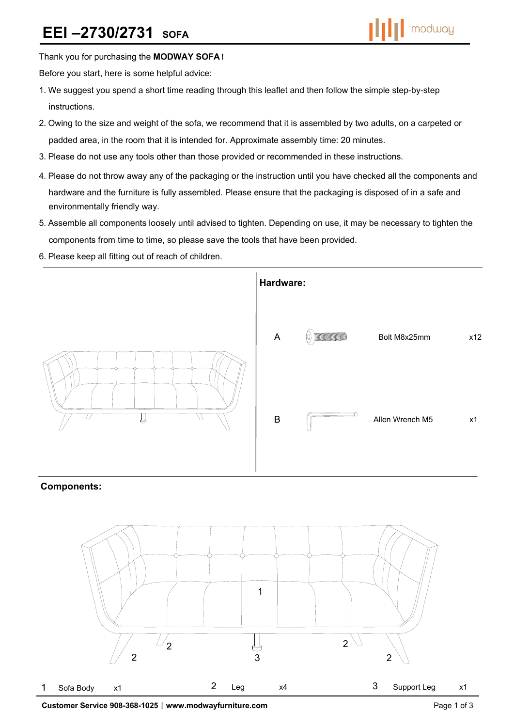

Thank you for purchasing the **MODWAY SOFA**!

Before you start, here is some helpful advice:

- 1.We suggest you spend a short time reading through this leaflet and then follow the simple step-by-step instructions.
- 2.Owing to the size and weight of the sofa, we recommend that it is assembled by two adults, on a carpeted or padded area, in the room that it is intended for. Approximate assembly time: 20 minutes.
- 3.Please do not use any tools other than those provided or recommended in these instructions.
- 4.Please do not throw away any of the packaging or the instruction until you have checked all the components and hardware and the furniture is fully assembled. Please ensure that the packaging is disposed of in a safe and environmentally friendly way.
- 5.Assemble all components loosely until advised to tighten. Depending on use, it may be necessary to tighten the components from time to time, so please save the tools that have been provided.
- 6.Please keep all fitting out of reach of children.



## **Components:**

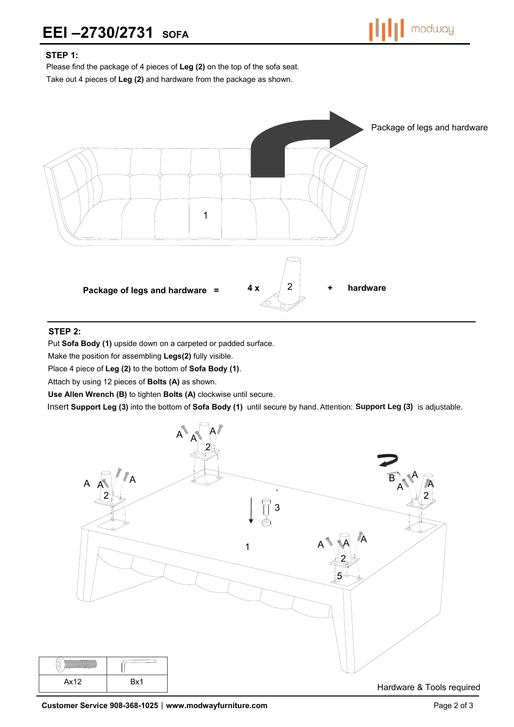

## **STEP 1:**

Please find the package of 4 pieces of **Leg (2)** on the top of the sofa seat. Take out 4 pieces of **Leg (2)** and hardware from the package as shown.



## **STEP 2:**

 $\circledtheta$ 

Put **Sofa Body (1)** upside down on a carpeted or padded surface.

Make the position for assembling **Legs(2)** fully visible.

Place 4 piece of **Leg (2)** to the bottom of **Sofa Body (1)**.

Attach by using 12 pieces of **Bolts (A)** as shown.

**Use Allen Wrench (B)** to tighten **Bolts (A)** clockwise until secure.

Insert Support Leg (3) into the bottom of Sofa Body (1) until secure by hand. Attention: Support Leg (3) is adjustable.



Hardware & Tools required